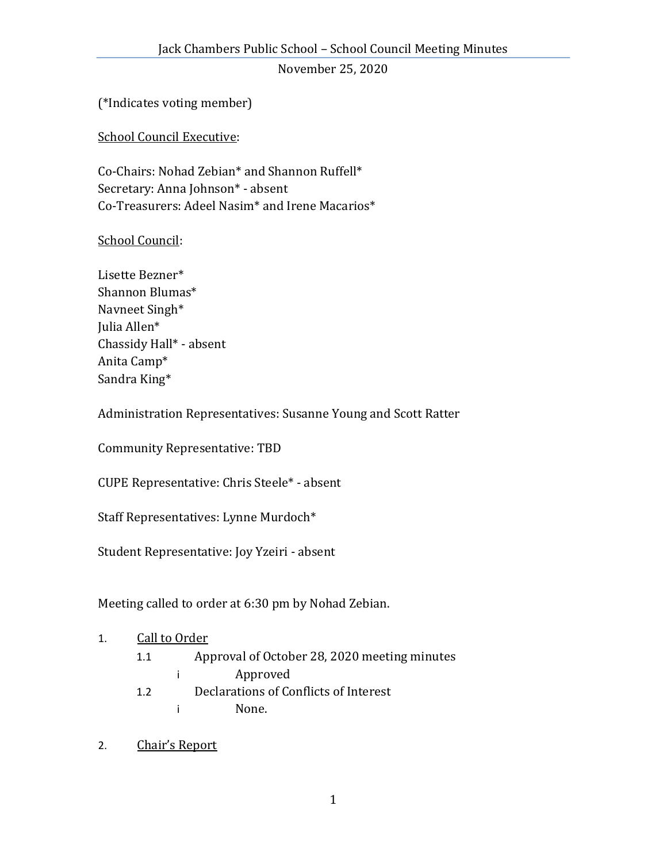November 25, 2020

(\*Indicates voting member)

School Council Executive:

Co-Chairs: Nohad Zebian\* and Shannon Ruffell\* Secretary: Anna Johnson\* - absent Co-Treasurers: Adeel Nasim\* and Irene Macarios\*

## School Council:

Lisette Bezner\* Shannon Blumas\* Navneet Singh\* Julia Allen\* Chassidy Hall\* - absent Anita Camp\* Sandra King\*

Administration Representatives: Susanne Young and Scott Ratter

Community Representative: TBD

CUPE Representative: Chris Steele\* - absent

Staff Representatives: Lynne Murdoch\*

Student Representative: Joy Yzeiri - absent

Meeting called to order at 6:30 pm by Nohad Zebian.

#### 1. Call to Order

- 1.1 Approval of October 28, 2020 meeting minutes
	- i Approved
- 1.2 Declarations of Conflicts of Interest
	- i None.
- 2. Chair's Report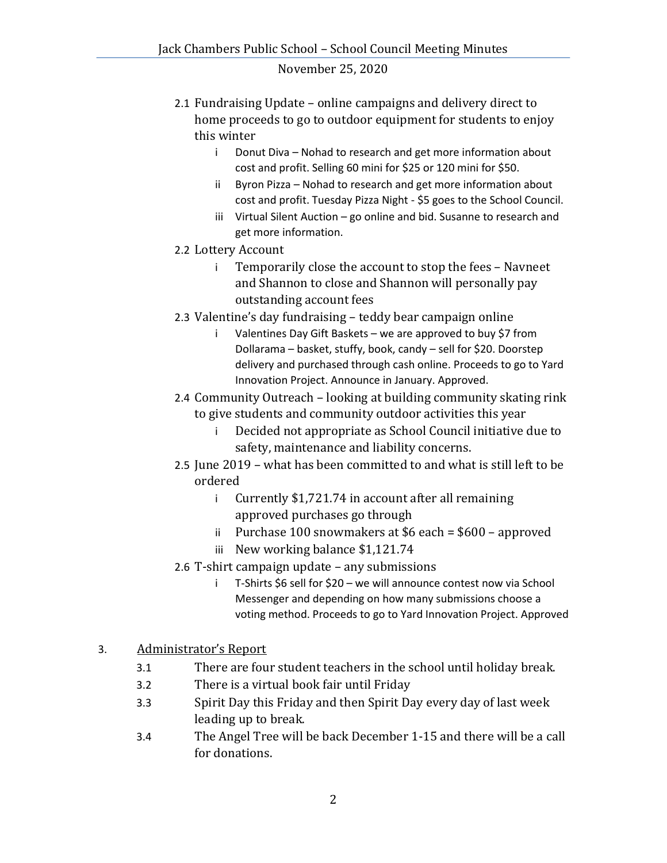#### November 25, 2020

- 2.1 Fundraising Update online campaigns and delivery direct to home proceeds to go to outdoor equipment for students to enjoy this winter
	- i Donut Diva Nohad to research and get more information about cost and profit. Selling 60 mini for \$25 or 120 mini for \$50.
	- ii Byron Pizza Nohad to research and get more information about cost and profit. Tuesday Pizza Night - \$5 goes to the School Council.
	- iii Virtual Silent Auction go online and bid. Susanne to research and get more information.
- 2.2 Lottery Account
	- i Temporarily close the account to stop the fees Navneet and Shannon to close and Shannon will personally pay outstanding account fees
- 2.3 Valentine's day fundraising teddy bear campaign online
	- Valentines Day Gift Baskets we are approved to buy \$7 from Dollarama – basket, stuffy, book, candy – sell for \$20. Doorstep delivery and purchased through cash online. Proceeds to go to Yard Innovation Project. Announce in January. Approved.
- 2.4 Community Outreach looking at building community skating rink to give students and community outdoor activities this year
	- i Decided not appropriate as School Council initiative due to safety, maintenance and liability concerns.
- 2.5 June 2019 what has been committed to and what is still left to be ordered
	- i Currently \$1,721.74 in account after all remaining approved purchases go through
	- ii Purchase 100 snowmakers at \$6 each = \$600 approved
	- iii New working balance \$1,121.74
- 2.6 T-shirt campaign update any submissions
	- i T-Shirts \$6 sell for \$20 we will announce contest now via School Messenger and depending on how many submissions choose a voting method. Proceeds to go to Yard Innovation Project. Approved

# 3. Administrator's Report

- 3.1 There are four student teachers in the school until holiday break.
- 3.2 There is a virtual book fair until Friday
- 3.3 Spirit Day this Friday and then Spirit Day every day of last week leading up to break.
- 3.4 The Angel Tree will be back December 1-15 and there will be a call for donations.